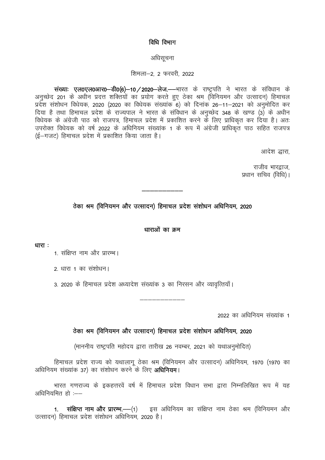## विधि विभाग

#### अधिसूचना

#### शिमला-2, 2 फरवरी, 2022

संख्याः एल0एल0आर0-डी0(6)-10/2020-लेज.--भारत के राष्ट्रपति ने भारत के संविधान के अनुच्छेद 201 के अधीन प्रदत्त शक्तियों का प्रयोग करते हुए ठेका श्रम (विनियमन और उत्सादन) हिमाचल प्रदेश संशोधन विधेयक, 2020 (2020 का विधेयक संख्यांक 6) को दिनांक 26–11–2021 को अनुमोदित कर दिया है तथा हिमाचल प्रदेश के राज्यपाल ने भारत के संविधान के अनुच्छेद 348 के खण्ड (3) के अधीन .<br>विधेयक के अंग्रेजी पाठ को राजपत्र, हिमाचल प्रदेश में प्रकाशित करने के लिए प्राधिकृत कर दिया है। अतः उपरोक्त विधेयक को वर्ष 2022 के अधिनियम संख्यांक 1 के रूप में अंग्रेजी प्राधिकृत पाठ सहित राजपत्र ्र<br>(ई—गजट) हिमाचल प्रदेश में प्रकाशित किया जाता है।

आदेश द्धारा

राजीव भारद्नाज. प्रधान सचिव (विधि)।

# ठेका श्रम (विनियमन और उत्सादन) हिमाचल प्रदेश संशोधन अधिनियम, 2020

### धाराओं का क्रम

धारा $\cdot$ 

1. संक्षिप्त नाम और प्रारम्भ।

२ धारा 1 का संशोधन।

3. 2020 के हिमाचल प्रदेश अध्यादेश संख्यांक 3 का निरसन और व्यावत्तियाँ।

2022 का अधिनियम संख्यांक 1

## ठेका श्रम (विनियमन और उत्सादन) हिमाचल प्रदेश संशोधन अधिनियम, 2020

(माननीय राष्ट्रपति महोदय द्वारा तारीख 26 नवम्बर, 2021 को यथाअनुमोदित)

हिमाचल प्रदेश राज्य को यथालागू ठेका श्रम (विनियमन और उत्सादन) अधिनियम, 1970 (1970 का अधिनियम संख्यांक 37) का संशोधन करने के लिए **अधिनियम**।

भारत गणराज्य के इकहत्तरवें वर्ष में हिमाचल प्रदेश विधान सभा द्वारा निम्नलिखित रूप में यह अधिनियमित हो :--

संक्षिप्त नाम और प्रारम्भ.-- (1) हस अधिनियम का संक्षिप्त नाम ठेका श्रम (विनियमन और  $1<sub>1</sub>$ उत्सादन) हिमाचल प्रदेश संशोधन अधिनियम. 2020 है।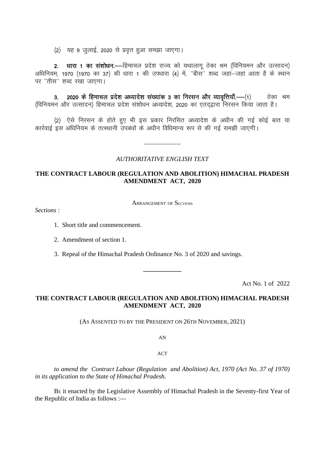(2) यह 9 जुलाई, 2020 से प्रवृत्त हुआ समझा जाएगा।

2. धारा 1 का संशोधन. - हिमाचल प्रदेश राज्य को यथालागू ठेका श्रम (विनियमन और उत्सादन) अधिनियम, 1970 (1970 का 37) की धारा 1 की उपधारा (4) में, "बीस" शब्द जहां–जहां आता है के स्थान पर "तीस" शब्द रखा जाएगा।

2020 के हिमाचल प्रदेश अध्यादेश संख्यांक 3 का निरसन और व्यावृत्तियाँ.--- (1) ठेका श्रम  $3<sub>l</sub>$ (विनियमन और उत्सादन) हिमाचल प्रदेश संशोधन अध्यादेश, 2020 का एतदद्वारा निरसन किया जाता है।

(2) ऐसे निरसन के होते हुए भी इस प्रकार निरसित अध्यादेश के अधीन की गई कोई बात या कार्रवाई इस अधिनियम के तत्स्थानी उपबंधों के अधीन विधिमान्य रूप से की गई समझी जाएगी।

#### **AUTHORITATIVE ENGLISH TEXT**

## THE CONTRACT LABOUR (REGULATION AND ABOLITION) HIMACHAL PRADESH **AMENDMENT ACT, 2020**

**ARRANGEMENT OF SECTIONS** 

Sections:

- 1. Short title and commencement.
- 2. Amendment of section 1.
- 3. Repeal of the Himachal Pradesh Ordinance No. 3 of 2020 and savings.

Act No. 1 of 2022

## THE CONTRACT LABOUR (REGULATION AND ABOLITION) HIMACHAL PRADESH **AMENDMENT ACT, 2020**

(AS ASSENTED TO BY THE PRESIDENT ON 26TH NOVEMBER, 2021)

 $AN$ 

#### $ACT$

to amend the Contract Labour (Regulation and Abolition) Act, 1970 (Act No. 37 of 1970) in its application to the State of Himachal Pradesh.

BE it enacted by the Legislative Assembly of Himachal Pradesh in the Seventy-first Year of the Republic of India as follows :-